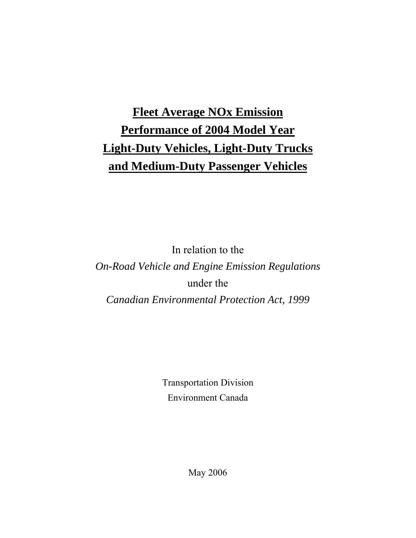# **Fleet Average NOx Emission Performance of 2004 Model Year Light-Duty Vehicles, Light-Duty Trucks and Medium-Duty Passenger Vehicles**

In relation to the *On-Road Vehicle and Engine Emission Regulations*  under the *Canadian Environmental Protection Act, 1999* 

> Transportation Division Environment Canada

> > May 2006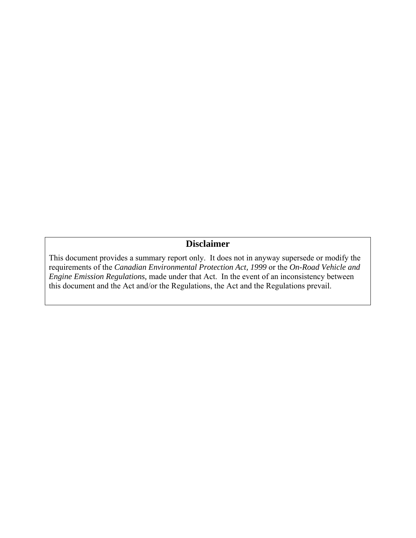# **Disclaimer**

This document provides a summary report only. It does not in anyway supersede or modify the requirements of the *Canadian Environmental Protection Act, 1999* or the *On-Road Vehicle and Engine Emission Regulations,* made under that Act. In the event of an inconsistency between this document and the Act and/or the Regulations, the Act and the Regulations prevail.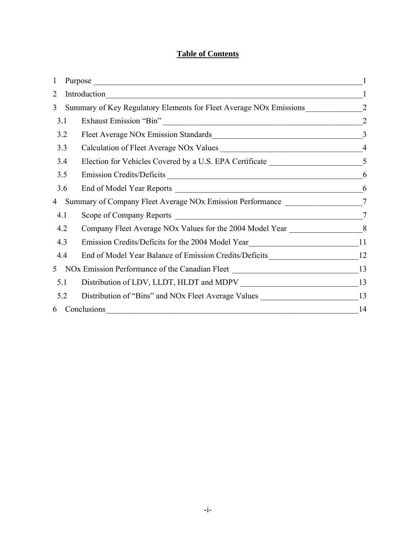# **Table of Contents**

| $\mathbf{1}$   |                                                                                                                                       |              |
|----------------|---------------------------------------------------------------------------------------------------------------------------------------|--------------|
| $\overline{2}$ | Introduction<br><u> 1989 - Johann Stoff, deutscher Stoff, der Stoff, der Stoff, der Stoff, der Stoff, der Stoff, der Stoff, der S</u> | $\mathbf{1}$ |
| 3              |                                                                                                                                       |              |
| 3.1            | Exhaust Emission "Bin" 2                                                                                                              |              |
| 3.2            | Fleet Average NOx Emission Standards<br>3                                                                                             |              |
| 3.3            |                                                                                                                                       |              |
| 3.4            |                                                                                                                                       |              |
| 3.5            | Emission Credits/Deficits                                                                                                             | 6            |
| 3.6            |                                                                                                                                       | 6            |
| 4              | Summary of Company Fleet Average NOx Emission Performance 27                                                                          |              |
| 4.1            |                                                                                                                                       | $\tau$       |
| 4.2            | Company Fleet Average NOx Values for the 2004 Model Year ________________________8                                                    |              |
| 4.3            | Emission Credits/Deficits for the 2004 Model Year_______________________________11                                                    |              |
| 4.4            | End of Model Year Balance of Emission Credits/Deficits 12                                                                             |              |
| 5              | NOx Emission Performance of the Canadian Fleet 13                                                                                     |              |
| 5.1            |                                                                                                                                       |              |
| 5.2            | Distribution of "Bins" and NOx Fleet Average Values _____________________________13                                                   |              |
| 6              | Conclusions<br><u> 1980 - John Stein, Amerikaansk politiker (</u> † 1920)                                                             | 14           |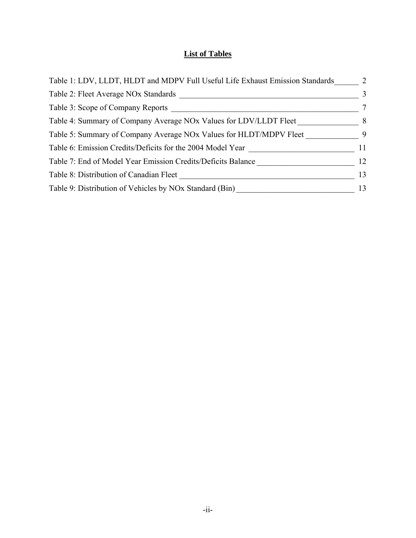# **List of Tables**

| Table 1: LDV, LLDT, HLDT and MDPV Full Useful Life Exhaust Emission Standards | 2              |
|-------------------------------------------------------------------------------|----------------|
| Table 2: Fleet Average NOx Standards                                          | 3              |
| Table 3: Scope of Company Reports                                             | 7              |
| Table 4: Summary of Company Average NOx Values for LDV/LLDT Fleet             | 8 <sup>8</sup> |
| Table 5: Summary of Company Average NOx Values for HLDT/MDPV Fleet            | $\overline{9}$ |
| Table 6: Emission Credits/Deficits for the 2004 Model Year                    | 11             |
| Table 7: End of Model Year Emission Credits/Deficits Balance                  | 12             |
| Table 8: Distribution of Canadian Fleet                                       | 13             |
| Table 9: Distribution of Vehicles by NOx Standard (Bin)                       | 13             |
|                                                                               |                |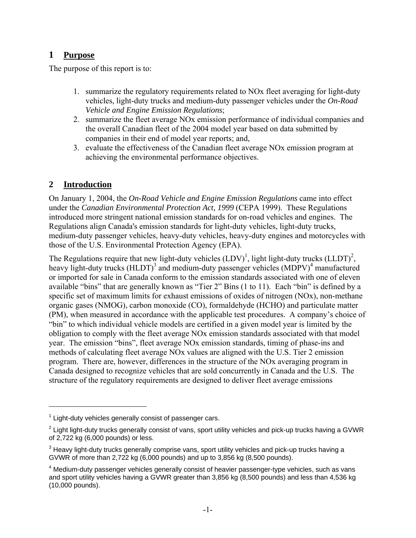# **1 Purpose**

The purpose of this report is to:

- 1. summarize the regulatory requirements related to NOx fleet averaging for light-duty vehicles, light-duty trucks and medium-duty passenger vehicles under the *On-Road Vehicle and Engine Emission Regulations*;
- 2. summarize the fleet average NOx emission performance of individual companies and the overall Canadian fleet of the 2004 model year based on data submitted by companies in their end of model year reports; and,
- 3. evaluate the effectiveness of the Canadian fleet average NOx emission program at achieving the environmental performance objectives.

# **2 Introduction**

 $\overline{a}$ 

On January 1, 2004, the *On-Road Vehicle and Engine Emission Regulations* came into effect under the *Canadian Environmental Protection Act, 1999* (CEPA 1999). These Regulations introduced more stringent national emission standards for on-road vehicles and engines. The Regulations align Canada's emission standards for light-duty vehicles, light-duty trucks, medium-duty passenger vehicles, heavy-duty vehicles, heavy-duty engines and motorcycles with those of the U.S. Environmental Protection Agency (EPA).

The Regulations require that new light-duty vehicles  $(LDV)^1$ , light light-duty trucks  $(LDT)^2$ , heavy light-duty trucks (HLDT)<sup>3</sup> and medium-duty passenger vehicles (MDPV)<sup>4</sup> manufactured or imported for sale in Canada conform to the emission standards associated with one of eleven available "bins" that are generally known as "Tier 2" Bins (1 to 11). Each "bin" is defined by a specific set of maximum limits for exhaust emissions of oxides of nitrogen (NOx), non-methane organic gases (NMOG), carbon monoxide (CO), formaldehyde (HCHO) and particulate matter (PM), when measured in accordance with the applicable test procedures. A company's choice of "bin" to which individual vehicle models are certified in a given model year is limited by the obligation to comply with the fleet average NOx emission standards associated with that model year. The emission "bins", fleet average NOx emission standards, timing of phase-ins and methods of calculating fleet average NOx values are aligned with the U.S. Tier 2 emission program. There are, however, differences in the structure of the NOx averaging program in Canada designed to recognize vehicles that are sold concurrently in Canada and the U.S. The structure of the regulatory requirements are designed to deliver fleet average emissions

 $1$  Light-duty vehicles generally consist of passenger cars.

 $^2$  Light light-duty trucks generally consist of vans, sport utility vehicles and pick-up trucks having a GVWR of 2,722 kg (6,000 pounds) or less.

 $^3$  Heavy light-duty trucks generally comprise vans, sport utility vehicles and pick-up trucks having a GVWR of more than 2,722 kg (6,000 pounds) and up to 3,856 kg (8,500 pounds).

 $<sup>4</sup>$  Medium-duty passenger vehicles generally consist of heavier passenger-type vehicles, such as vans</sup> and sport utility vehicles having a GVWR greater than 3,856 kg (8,500 pounds) and less than 4,536 kg (10,000 pounds).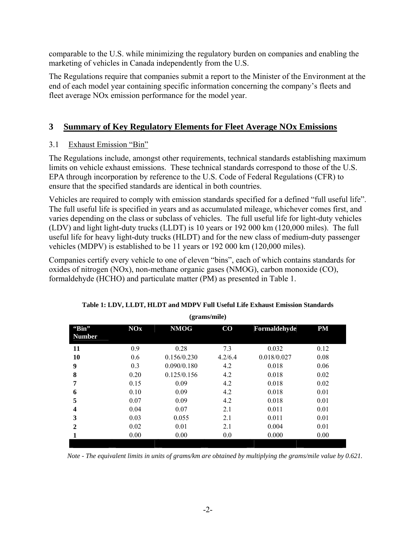comparable to the U.S. while minimizing the regulatory burden on companies and enabling the marketing of vehicles in Canada independently from the U.S.

The Regulations require that companies submit a report to the Minister of the Environment at the end of each model year containing specific information concerning the company's fleets and fleet average NOx emission performance for the model year.

# **3 Summary of Key Regulatory Elements for Fleet Average NOx Emissions**

# 3.1 Exhaust Emission "Bin"

The Regulations include, amongst other requirements, technical standards establishing maximum limits on vehicle exhaust emissions. These technical standards correspond to those of the U.S. EPA through incorporation by reference to the U.S. Code of Federal Regulations (CFR) to ensure that the specified standards are identical in both countries.

Vehicles are required to comply with emission standards specified for a defined "full useful life". The full useful life is specified in years and as accumulated mileage, whichever comes first, and varies depending on the class or subclass of vehicles. The full useful life for light-duty vehicles (LDV) and light light-duty trucks (LLDT) is 10 years or 192 000 km (120,000 miles). The full useful life for heavy light-duty trucks (HLDT) and for the new class of medium-duty passenger vehicles (MDPV) is established to be 11 years or 192 000 km (120,000 miles).

Companies certify every vehicle to one of eleven "bins", each of which contains standards for oxides of nitrogen (NOx), non-methane organic gases (NMOG), carbon monoxide (CO), formaldehyde (HCHO) and particulate matter (PM) as presented in Table 1.

|                         |            | $\mathbf{v}$ |          |              |           |  |
|-------------------------|------------|--------------|----------|--------------|-----------|--|
| "Bin"<br><b>Number</b>  | <b>NOx</b> | <b>NMOG</b>  | $\bf CO$ | Formaldehyde | <b>PM</b> |  |
| 11                      | 0.9        | 0.28         | 7.3      | 0.032        | 0.12      |  |
| 10                      | 0.6        | 0.156/0.230  | 4.2/6.4  | 0.018/0.027  | 0.08      |  |
| 9                       | 0.3        | 0.090/0.180  | 4.2      | 0.018        | 0.06      |  |
| 8                       | 0.20       | 0.125/0.156  | 4.2      | 0.018        | 0.02      |  |
| 7                       | 0.15       | 0.09         | 4.2      | 0.018        | 0.02      |  |
| 6                       | 0.10       | 0.09         | 4.2      | 0.018        | 0.01      |  |
| 5                       | 0.07       | 0.09         | 4.2      | 0.018        | 0.01      |  |
| $\overline{\mathbf{4}}$ | 0.04       | 0.07         | 2.1      | 0.011        | 0.01      |  |
| 3                       | 0.03       | 0.055        | 2.1      | 0.011        | 0.01      |  |
| $\mathbf{2}$            | 0.02       | 0.01         | 2.1      | 0.004        | 0.01      |  |
|                         | 0.00       | 0.00         | 0.0      | 0.000        | 0.00      |  |
|                         |            |              |          |              |           |  |

| Table 1: LDV, LLDT, HLDT and MDPV Full Useful Life Exhaust Emission Standards |
|-------------------------------------------------------------------------------|
| $(\alpha$ rome/mila)                                                          |

*Note - The equivalent limits in units of grams/km are obtained by multiplying the grams/mile value by 0.621.*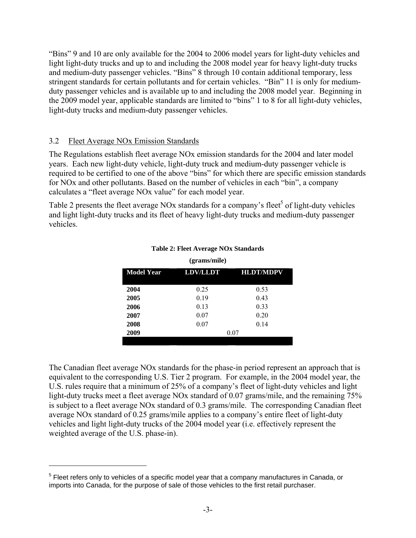"Bins" 9 and 10 are only available for the 2004 to 2006 model years for light-duty vehicles and light light-duty trucks and up to and including the 2008 model year for heavy light-duty trucks and medium-duty passenger vehicles. "Bins" 8 through 10 contain additional temporary, less stringent standards for certain pollutants and for certain vehicles. "Bin" 11 is only for mediumduty passenger vehicles and is available up to and including the 2008 model year. Beginning in the 2009 model year, applicable standards are limited to "bins" 1 to 8 for all light-duty vehicles, light-duty trucks and medium-duty passenger vehicles.

### 3.2 Fleet Average NOx Emission Standards

 $\overline{a}$ 

The Regulations establish fleet average NOx emission standards for the 2004 and later model years. Each new light-duty vehicle, light-duty truck and medium-duty passenger vehicle is required to be certified to one of the above "bins" for which there are specific emission standards for NOx and other pollutants. Based on the number of vehicles in each "bin", a company calculates a "fleet average NOx value" for each model year.

Table 2 presents the fleet average NOx standards for a company's fleet<sup>5</sup> of light-duty vehicles and light light-duty trucks and its fleet of heavy light-duty trucks and medium-duty passenger vehicles.

| <b>HLDT/MDPV</b> |
|------------------|
|                  |
|                  |
|                  |
|                  |
|                  |
|                  |
|                  |

#### **Table 2: Fleet Average NOx Standards (grams/mile)**

The Canadian fleet average NOx standards for the phase-in period represent an approach that is equivalent to the corresponding U.S. Tier 2 program. For example, in the 2004 model year, the U.S. rules require that a minimum of 25% of a company's fleet of light-duty vehicles and light light-duty trucks meet a fleet average NOx standard of 0.07 grams/mile, and the remaining 75% is subject to a fleet average NOx standard of 0.3 grams/mile. The corresponding Canadian fleet average NOx standard of 0.25 grams/mile applies to a company's entire fleet of light-duty vehicles and light light-duty trucks of the 2004 model year (i.e. effectively represent the weighted average of the U.S. phase-in).

 $5$  Fleet refers only to vehicles of a specific model year that a company manufactures in Canada, or imports into Canada, for the purpose of sale of those vehicles to the first retail purchaser.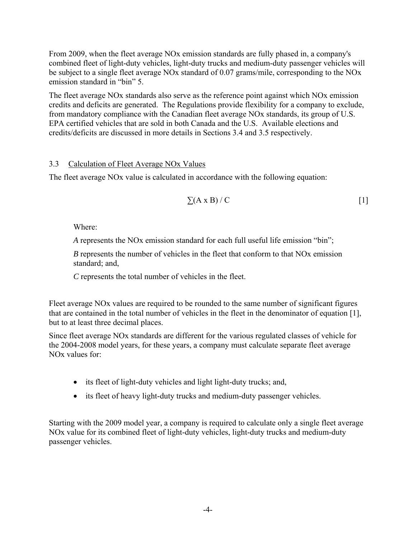From 2009, when the fleet average NOx emission standards are fully phased in, a company's combined fleet of light-duty vehicles, light-duty trucks and medium-duty passenger vehicles will be subject to a single fleet average NOx standard of 0.07 grams/mile, corresponding to the NOx emission standard in "bin" 5.

The fleet average NOx standards also serve as the reference point against which NOx emission credits and deficits are generated. The Regulations provide flexibility for a company to exclude, from mandatory compliance with the Canadian fleet average NOx standards, its group of U.S. EPA certified vehicles that are sold in both Canada and the U.S. Available elections and credits/deficits are discussed in more details in Sections 3.4 and 3.5 respectively.

## 3.3 Calculation of Fleet Average NOx Values

The fleet average NOx value is calculated in accordance with the following equation:

$$
\Sigma(A \times B) / C \tag{1}
$$

Where:

*A* represents the NOx emission standard for each full useful life emission "bin";

*B* represents the number of vehicles in the fleet that conform to that NOx emission standard; and,

 *C* represents the total number of vehicles in the fleet.

Fleet average NOx values are required to be rounded to the same number of significant figures that are contained in the total number of vehicles in the fleet in the denominator of equation [1], but to at least three decimal places.

Since fleet average NOx standards are different for the various regulated classes of vehicle for the 2004-2008 model years, for these years, a company must calculate separate fleet average NOx values for:

- its fleet of light-duty vehicles and light light-duty trucks; and,
- its fleet of heavy light-duty trucks and medium-duty passenger vehicles.

Starting with the 2009 model year, a company is required to calculate only a single fleet average NOx value for its combined fleet of light-duty vehicles, light-duty trucks and medium-duty passenger vehicles.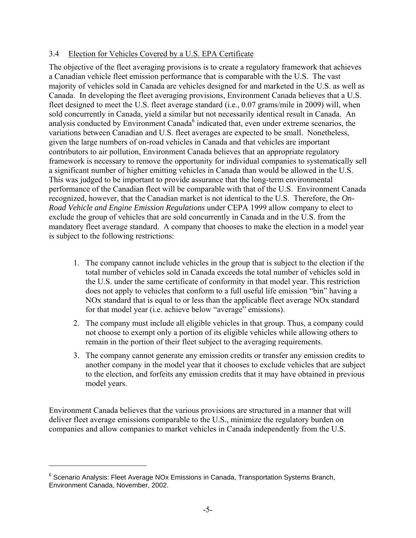# 3.4 Election for Vehicles Covered by a U.S. EPA Certificate

The objective of the fleet averaging provisions is to create a regulatory framework that achieves a Canadian vehicle fleet emission performance that is comparable with the U.S. The vast majority of vehicles sold in Canada are vehicles designed for and marketed in the U.S. as well as Canada. In developing the fleet averaging provisions, Environment Canada believes that a U.S. fleet designed to meet the U.S. fleet average standard (i.e., 0.07 grams/mile in 2009) will, when sold concurrently in Canada, yield a similar but not necessarily identical result in Canada. An analysis conducted by Environment Canada $<sup>6</sup>$  indicated that, even under extreme scenarios, the</sup> variations between Canadian and U.S. fleet averages are expected to be small. Nonetheless, given the large numbers of on-road vehicles in Canada and that vehicles are important contributors to air pollution, Environment Canada believes that an appropriate regulatory framework is necessary to remove the opportunity for individual companies to systematically sell a significant number of higher emitting vehicles in Canada than would be allowed in the U.S. This was judged to be important to provide assurance that the long-term environmental performance of the Canadian fleet will be comparable with that of the U.S. Environment Canada recognized, however, that the Canadian market is not identical to the U.S. Therefore, the *On-Road Vehicle and Engine Emission Regulations* under CEPA 1999 allow company to elect to exclude the group of vehicles that are sold concurrently in Canada and in the U.S. from the mandatory fleet average standard. A company that chooses to make the election in a model year is subject to the following restrictions:

- 1. The company cannot include vehicles in the group that is subject to the election if the total number of vehicles sold in Canada exceeds the total number of vehicles sold in the U.S. under the same certificate of conformity in that model year. This restriction does not apply to vehicles that conform to a full useful life emission "bin" having a NOx standard that is equal to or less than the applicable fleet average NOx standard for that model year (i.e. achieve below "average" emissions).
- 2. The company must include all eligible vehicles in that group. Thus, a company could not choose to exempt only a portion of its eligible vehicles while allowing others to remain in the portion of their fleet subject to the averaging requirements.
- 3. The company cannot generate any emission credits or transfer any emission credits to another company in the model year that it chooses to exclude vehicles that are subject to the election, and forfeits any emission credits that it may have obtained in previous model years.

Environment Canada believes that the various provisions are structured in a manner that will deliver fleet average emissions comparable to the U.S., minimize the regulatory burden on companies and allow companies to market vehicles in Canada independently from the U.S.

 $\overline{a}$ 

<sup>&</sup>lt;sup>6</sup> Scenario Analysis: Fleet Average NOx Emissions in Canada, Transportation Systems Branch, Environment Canada, November, 2002.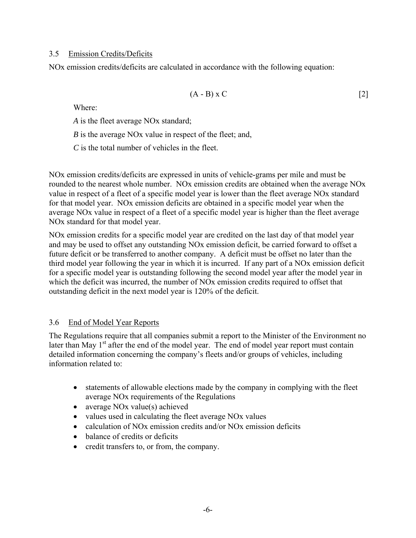### 3.5 Emission Credits/Deficits

NOx emission credits/deficits are calculated in accordance with the following equation:

$$
(A - B) \times C \tag{2}
$$

Where:

*A* is the fleet average NOx standard;

*B* is the average NOx value in respect of the fleet; and,

*C* is the total number of vehicles in the fleet.

NOx emission credits/deficits are expressed in units of vehicle-grams per mile and must be rounded to the nearest whole number. NOx emission credits are obtained when the average NOx value in respect of a fleet of a specific model year is lower than the fleet average NOx standard for that model year. NOx emission deficits are obtained in a specific model year when the average NOx value in respect of a fleet of a specific model year is higher than the fleet average NOx standard for that model year.

NOx emission credits for a specific model year are credited on the last day of that model year and may be used to offset any outstanding NOx emission deficit, be carried forward to offset a future deficit or be transferred to another company. A deficit must be offset no later than the third model year following the year in which it is incurred. If any part of a NOx emission deficit for a specific model year is outstanding following the second model year after the model year in which the deficit was incurred, the number of NOx emission credits required to offset that outstanding deficit in the next model year is 120% of the deficit.

## 3.6 End of Model Year Reports

The Regulations require that all companies submit a report to the Minister of the Environment no later than May 1<sup>st</sup> after the end of the model year. The end of model year report must contain detailed information concerning the company's fleets and/or groups of vehicles, including information related to:

- statements of allowable elections made by the company in complying with the fleet average NOx requirements of the Regulations
- average NO<sub>x</sub> value(s) achieved
- values used in calculating the fleet average NO<sub>x</sub> values
- calculation of NO<sub>x</sub> emission credits and/or NO<sub>x</sub> emission deficits
- balance of credits or deficits
- credit transfers to, or from, the company.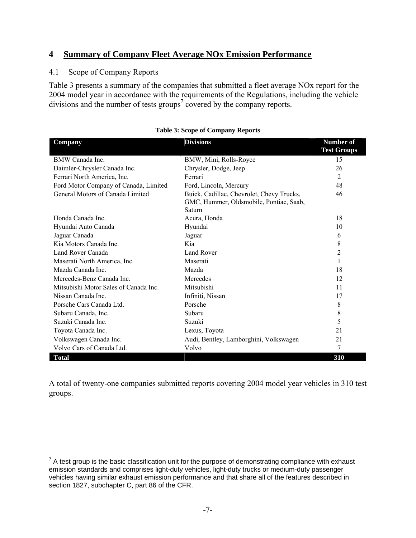# **4 Summary of Company Fleet Average NOx Emission Performance**

## 4.1 Scope of Company Reports

 $\overline{a}$ 

Table 3 presents a summary of the companies that submitted a fleet average NOx report for the 2004 model year in accordance with the requirements of the Regulations, including the vehicle divisions and the number of tests groups<sup>7</sup> covered by the company reports.

| Company                               | <b>Divisions</b>                                                                               | <b>Number of</b>   |
|---------------------------------------|------------------------------------------------------------------------------------------------|--------------------|
|                                       |                                                                                                | <b>Test Groups</b> |
| <b>BMW</b> Canada Inc.                | BMW, Mini, Rolls-Royce                                                                         | 15                 |
| Daimler-Chrysler Canada Inc.          | Chrysler, Dodge, Jeep                                                                          | 26                 |
| Ferrari North America, Inc.           | Ferrari                                                                                        | $\overline{2}$     |
| Ford Motor Company of Canada, Limited | Ford, Lincoln, Mercury                                                                         | 48                 |
| General Motors of Canada Limited      | Buick, Cadillac, Chevrolet, Chevy Trucks,<br>GMC, Hummer, Oldsmobile, Pontiac, Saab,<br>Saturn | 46                 |
| Honda Canada Inc                      | Acura, Honda                                                                                   | 18                 |
| Hyundai Auto Canada                   | Hyundai                                                                                        | 10                 |
| Jaguar Canada                         | Jaguar                                                                                         | 6                  |
| Kia Motors Canada Inc.                | Kia                                                                                            | 8                  |
| Land Rover Canada                     | Land Rover                                                                                     | $\overline{c}$     |
| Maserati North America, Inc.          | Maserati                                                                                       | 1                  |
| Mazda Canada Inc.                     | Mazda                                                                                          | 18                 |
| Mercedes-Benz Canada Inc.             | Mercedes                                                                                       | 12                 |
| Mitsubishi Motor Sales of Canada Inc. | Mitsubishi                                                                                     | 11                 |
| Nissan Canada Inc.                    | Infiniti, Nissan                                                                               | 17                 |
| Porsche Cars Canada Ltd.              | Porsche                                                                                        | 8                  |
| Subaru Canada, Inc.                   | Subaru                                                                                         | 8                  |
| Suzuki Canada Inc.                    | Suzuki                                                                                         | 5                  |
| Toyota Canada Inc.                    | Lexus, Toyota                                                                                  | 21                 |
| Volkswagen Canada Inc.                | Audi, Bentley, Lamborghini, Volkswagen                                                         | 21                 |
| Volvo Cars of Canada Ltd.             | Volvo                                                                                          | 7                  |
| <b>Total</b>                          |                                                                                                | 310                |

| <b>Table 3: Scope of Company Reports</b> |
|------------------------------------------|
|------------------------------------------|

A total of twenty-one companies submitted reports covering 2004 model year vehicles in 310 test groups.

 $7$  A test group is the basic classification unit for the purpose of demonstrating compliance with exhaust emission standards and comprises light-duty vehicles, light-duty trucks or medium-duty passenger vehicles having similar exhaust emission performance and that share all of the features described in section 1827, subchapter C, part 86 of the CFR.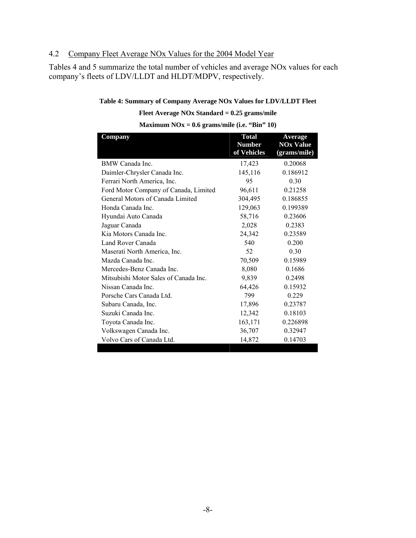# 4.2 Company Fleet Average NOx Values for the 2004 Model Year

Tables 4 and 5 summarize the total number of vehicles and average NOx values for each company's fleets of LDV/LLDT and HLDT/MDPV, respectively.

#### **Table 4: Summary of Company Average NOx Values for LDV/LLDT Fleet**

#### **Fleet Average NOx Standard = 0.25 grams/mile**

| <b>Company</b>                        | <b>Total</b><br><b>Number</b><br>of Vehicles | <b>Average</b><br><b>NOx Value</b><br>(grams/mile) |
|---------------------------------------|----------------------------------------------|----------------------------------------------------|
| <b>BMW</b> Canada Inc.                | 17,423                                       | 0.20068                                            |
| Daimler-Chrysler Canada Inc.          | 145,116                                      | 0.186912                                           |
| Ferrari North America, Inc.           | 95                                           | 0.30                                               |
| Ford Motor Company of Canada, Limited | 96,611                                       | 0.21258                                            |
| General Motors of Canada Limited      | 304,495                                      | 0.186855                                           |
| Honda Canada Inc.                     | 129,063                                      | 0.199389                                           |
| Hyundai Auto Canada                   | 58,716                                       | 0.23606                                            |
| Jaguar Canada                         | 2,028                                        | 0.2383                                             |
| Kia Motors Canada Inc.                | 24,342                                       | 0.23589                                            |
| Land Rover Canada                     | 540                                          | 0.200                                              |
| Maserati North America, Inc.          | 52                                           | 0.30                                               |
| Mazda Canada Inc.                     | 70,509                                       | 0.15989                                            |
| Mercedes-Benz Canada Inc.             | 8,080                                        | 0.1686                                             |
| Mitsubishi Motor Sales of Canada Inc. | 9,839                                        | 0.2498                                             |
| Nissan Canada Inc.                    | 64,426                                       | 0.15932                                            |
| Porsche Cars Canada Ltd.              | 799                                          | 0.229                                              |
| Subaru Canada, Inc.                   | 17,896                                       | 0.23787                                            |
| Suzuki Canada Inc.                    | 12,342                                       | 0.18103                                            |
| Toyota Canada Inc.                    | 163,171                                      | 0.226898                                           |
| Volkswagen Canada Inc.                | 36,707                                       | 0.32947                                            |
| Volvo Cars of Canada Ltd.             | 14,872                                       | 0.14703                                            |

**Maximum NOx = 0.6 grams/mile (i.e. "Bin" 10)**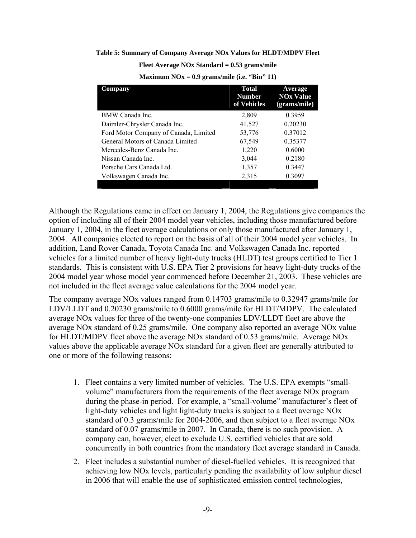#### **Table 5: Summary of Company Average NOx Values for HLDT/MDPV Fleet**

**Fleet Average NOx Standard = 0.53 grams/mile** 

| <b>NOx Value</b><br>(grams/mile) |
|----------------------------------|
|                                  |
|                                  |
|                                  |
|                                  |
|                                  |
|                                  |
|                                  |
|                                  |
|                                  |

**Maximum NOx = 0.9 grams/mile (i.e. "Bin" 11)** 

Although the Regulations came in effect on January 1, 2004, the Regulations give companies the option of including all of their 2004 model year vehicles, including those manufactured before January 1, 2004, in the fleet average calculations or only those manufactured after January 1, 2004. All companies elected to report on the basis of all of their 2004 model year vehicles. In addition, Land Rover Canada, Toyota Canada Inc. and Volkswagen Canada Inc. reported vehicles for a limited number of heavy light-duty trucks (HLDT) test groups certified to Tier 1 standards. This is consistent with U.S. EPA Tier 2 provisions for heavy light-duty trucks of the 2004 model year whose model year commenced before December 21, 2003. These vehicles are not included in the fleet average value calculations for the 2004 model year.

The company average NOx values ranged from 0.14703 grams/mile to 0.32947 grams/mile for LDV/LLDT and 0.20230 grams/mile to 0.6000 grams/mile for HLDT/MDPV. The calculated average NOx values for three of the twenty-one companies LDV/LLDT fleet are above the average NOx standard of 0.25 grams/mile. One company also reported an average NOx value for HLDT/MDPV fleet above the average NOx standard of 0.53 grams/mile. Average NOx values above the applicable average NOx standard for a given fleet are generally attributed to one or more of the following reasons:

- 1. Fleet contains a very limited number of vehicles. The U.S. EPA exempts "smallvolume" manufacturers from the requirements of the fleet average NOx program during the phase-in period. For example, a "small-volume" manufacturer's fleet of light-duty vehicles and light light-duty trucks is subject to a fleet average NOx standard of 0.3 grams/mile for 2004-2006, and then subject to a fleet average NOx standard of 0.07 grams/mile in 2007. In Canada, there is no such provision. A company can, however, elect to exclude U.S. certified vehicles that are sold concurrently in both countries from the mandatory fleet average standard in Canada.
- 2. Fleet includes a substantial number of diesel-fuelled vehicles. It is recognized that achieving low NOx levels, particularly pending the availability of low sulphur diesel in 2006 that will enable the use of sophisticated emission control technologies,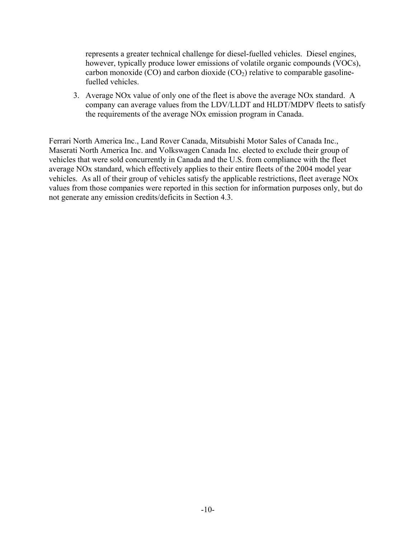represents a greater technical challenge for diesel-fuelled vehicles. Diesel engines, however, typically produce lower emissions of volatile organic compounds (VOCs), carbon monoxide (CO) and carbon dioxide (CO<sub>2</sub>) relative to comparable gasolinefuelled vehicles.

3. Average NOx value of only one of the fleet is above the average NOx standard. A company can average values from the LDV/LLDT and HLDT/MDPV fleets to satisfy the requirements of the average NOx emission program in Canada.

Ferrari North America Inc., Land Rover Canada, Mitsubishi Motor Sales of Canada Inc., Maserati North America Inc. and Volkswagen Canada Inc. elected to exclude their group of vehicles that were sold concurrently in Canada and the U.S. from compliance with the fleet average NOx standard, which effectively applies to their entire fleets of the 2004 model year vehicles. As all of their group of vehicles satisfy the applicable restrictions, fleet average NOx values from those companies were reported in this section for information purposes only, but do not generate any emission credits/deficits in Section 4.3.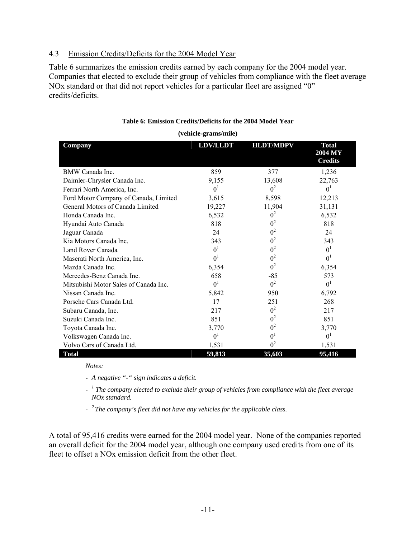## 4.3 Emission Credits/Deficits for the 2004 Model Year

Table 6 summarizes the emission credits earned by each company for the 2004 model year. Companies that elected to exclude their group of vehicles from compliance with the fleet average NOx standard or that did not report vehicles for a particular fleet are assigned "0" credits/deficits.

| Company                               | <b>LDV/LLDT</b> | <b>HLDT/MDPV</b> | <b>Total</b><br>2004 MY<br><b>Credits</b> |
|---------------------------------------|-----------------|------------------|-------------------------------------------|
| BMW Canada Inc.                       | 859             | 377              | 1,236                                     |
| Daimler-Chrysler Canada Inc.          | 9,155           | 13,608           | 22,763                                    |
| Ferrari North America, Inc.           | 0 <sup>1</sup>  | 0 <sup>2</sup>   | 0 <sup>1</sup>                            |
| Ford Motor Company of Canada, Limited | 3,615           | 8,598            | 12,213                                    |
| General Motors of Canada Limited      | 19,227          | 11,904           | 31,131                                    |
| Honda Canada Inc.                     | 6,532           | $0^2$            | 6,532                                     |
| Hyundai Auto Canada                   | 818             | 0 <sup>2</sup>   | 818                                       |
| Jaguar Canada                         | 24              | 0 <sup>2</sup>   | 24                                        |
| Kia Motors Canada Inc.                | 343             | 0 <sup>2</sup>   | 343                                       |
| Land Rover Canada                     | 0 <sup>1</sup>  | 0 <sup>2</sup>   | 0 <sup>1</sup>                            |
| Maserati North America, Inc.          | 0 <sup>1</sup>  | 0 <sup>2</sup>   | 0 <sup>1</sup>                            |
| Mazda Canada Inc.                     | 6,354           | 0 <sup>2</sup>   | 6,354                                     |
| Mercedes-Benz Canada Inc.             | 658             | $-85$            | 573                                       |
| Mitsubishi Motor Sales of Canada Inc. | 0 <sup>1</sup>  | 0 <sup>2</sup>   | 0 <sup>1</sup>                            |
| Nissan Canada Inc.                    | 5,842           | 950              | 6,792                                     |
| Porsche Cars Canada Ltd.              | 17              | 251              | 268                                       |
| Subaru Canada, Inc.                   | 217             | 0 <sup>2</sup>   | 217                                       |
| Suzuki Canada Inc.                    | 851             | 0 <sup>2</sup>   | 851                                       |
| Toyota Canada Inc.                    | 3,770           | 0 <sup>2</sup>   | 3,770                                     |
| Volkswagen Canada Inc.                | 0 <sup>1</sup>  | 0 <sup>1</sup>   | 0 <sup>1</sup>                            |
| Volvo Cars of Canada Ltd.             | 1,531           | 0 <sup>2</sup>   | 1,531                                     |
| <b>Total</b>                          | 59,813          | 35,603           | 95,416                                    |

### **Table 6: Emission Credits/Deficits for the 2004 Model Year**

#### **(vehicle-grams/mile)**

*Notes:* 

- *A negative "-" sign indicates a deficit.* 

- *<sup>1</sup> The company elected to exclude their group of vehicles from compliance with the fleet average NOx standard.* 

- *2 The company's fleet did not have any vehicles for the applicable class.* 

A total of 95,416 credits were earned for the 2004 model year. None of the companies reported an overall deficit for the 2004 model year, although one company used credits from one of its fleet to offset a NOx emission deficit from the other fleet.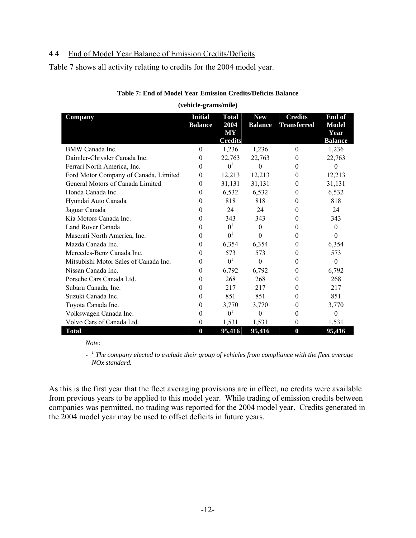## 4.4 End of Model Year Balance of Emission Credits/Deficits

Table 7 shows all activity relating to credits for the 2004 model year.

| Company                               | <b>Initial</b><br><b>Balance</b> | <b>Total</b><br>2004<br>MY | <b>New</b><br><b>Balance</b> | <b>Credits</b><br><b>Transferred</b> | End of<br><b>Model</b><br>Year |
|---------------------------------------|----------------------------------|----------------------------|------------------------------|--------------------------------------|--------------------------------|
|                                       |                                  | <b>Credits</b>             |                              |                                      | <b>Balance</b>                 |
| BMW Canada Inc.                       | $\theta$                         | 1,236                      | 1,236                        | $\theta$                             | 1,236                          |
| Daimler-Chrysler Canada Inc.          | $\theta$                         | 22,763                     | 22,763                       | $\theta$                             | 22,763                         |
| Ferrari North America, Inc.           | $\Omega$                         | 0 <sup>1</sup>             | 0                            | $\Omega$                             | $\theta$                       |
| Ford Motor Company of Canada, Limited | $\Omega$                         | 12,213                     | 12,213                       | $\overline{0}$                       | 12,213                         |
| General Motors of Canada Limited      | $\Omega$                         | 31,131                     | 31,131                       | $\theta$                             | 31,131                         |
| Honda Canada Inc.                     | $\Omega$                         | 6,532                      | 6,532                        | $\theta$                             | 6,532                          |
| Hyundai Auto Canada                   | $\Omega$                         | 818                        | 818                          | $\theta$                             | 818                            |
| Jaguar Canada                         | $\Omega$                         | 24                         | 24                           | $\theta$                             | 24                             |
| Kia Motors Canada Inc.                | $\Omega$                         | 343                        | 343                          | $\theta$                             | 343                            |
| Land Rover Canada                     | $\Omega$                         | 0 <sup>1</sup>             | $\Omega$                     | $\Omega$                             | $\theta$                       |
| Maserati North America, Inc.          | $\Omega$                         | 0 <sup>1</sup>             | $\Omega$                     | $\Omega$                             | $\Omega$                       |
| Mazda Canada Inc.                     | $\Omega$                         | 6,354                      | 6,354                        | $\theta$                             | 6,354                          |
| Mercedes-Benz Canada Inc.             | $\Omega$                         | 573                        | 573                          | $\theta$                             | 573                            |
| Mitsubishi Motor Sales of Canada Inc. | $\Omega$                         | 0 <sup>1</sup>             | $\theta$                     | $\theta$                             | $\Omega$                       |
| Nissan Canada Inc.                    | $\theta$                         | 6,792                      | 6,792                        | $\theta$                             | 6,792                          |
| Porsche Cars Canada Ltd.              | $\Omega$                         | 268                        | 268                          | $\theta$                             | 268                            |
| Subaru Canada, Inc.                   | $\Omega$                         | 217                        | 217                          | $\theta$                             | 217                            |
| Suzuki Canada Inc.                    | $\Omega$                         | 851                        | 851                          | $\Omega$                             | 851                            |
| Toyota Canada Inc.                    | $\theta$                         | 3,770                      | 3,770                        | $\theta$                             | 3,770                          |
| Volkswagen Canada Inc.                | 0                                | 0 <sup>1</sup>             | $\theta$                     | 0                                    | $\theta$                       |
| Volvo Cars of Canada Ltd.             | $\mathbf{0}$                     | 1,531                      | 1,531                        | $\theta$                             | 1,531                          |
| <b>Total</b>                          | $\boldsymbol{0}$                 | 95,416                     | 95,416                       | $\boldsymbol{0}$                     | 95,416                         |

# **Table 7: End of Model Year Emission Credits/Deficits Balance (vehicle-grams/mile)**

*Note:* 

- *<sup>1</sup> The company elected to exclude their group of vehicles from compliance with the fleet average NOx standard.* 

As this is the first year that the fleet averaging provisions are in effect, no credits were available from previous years to be applied to this model year. While trading of emission credits between companies was permitted, no trading was reported for the 2004 model year. Credits generated in the 2004 model year may be used to offset deficits in future years.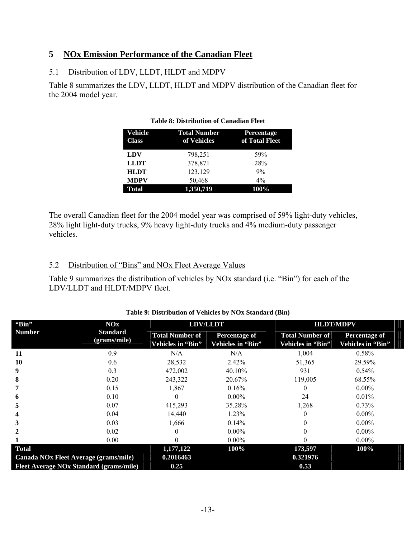# **5 NOx Emission Performance of the Canadian Fleet**

# 5.1 Distribution of LDV, LLDT, HLDT and MDPV

Table 8 summarizes the LDV, LLDT, HLDT and MDPV distribution of the Canadian fleet for the 2004 model year.

| Vehicle<br><b>Class</b> | <b>Total Number</b><br>of Vehicles | Percentage<br>of Total Fleet |
|-------------------------|------------------------------------|------------------------------|
| LDV                     | 798,251                            | 59%                          |
| <b>LLDT</b>             | 378,871                            | 28%                          |
| <b>HLDT</b>             | 123,129                            | 9%                           |
| <b>MDPV</b>             | 50,468                             | $4\%$                        |
| Total                   | 1,350,719                          | 100%                         |

### **Table 8: Distribution of Canadian Fleet**

The overall Canadian fleet for the 2004 model year was comprised of 59% light-duty vehicles, 28% light light-duty trucks, 9% heavy light-duty trucks and 4% medium-duty passenger vehicles.

# 5.2 Distribution of "Bins" and NOx Fleet Average Values

Table 9 summarizes the distribution of vehicles by NOx standard (i.e. "Bin") for each of the LDV/LLDT and HLDT/MDPV fleet.

| "Bin"                                   | <b>NOx</b>      | <b>LDV/LLDT</b>        |                      | <b>HLDT/MDPV</b>       |                      |
|-----------------------------------------|-----------------|------------------------|----------------------|------------------------|----------------------|
| <b>Number</b>                           | <b>Standard</b> | <b>Total Number of</b> | <b>Percentage of</b> | <b>Total Number of</b> | <b>Percentage of</b> |
|                                         | (grams/mile)    | Vehicles in "Bin"      | Vehicles in "Bin"    | Vehicles in "Bin"      | Vehicles in "Bin"    |
| 11                                      | 0.9             | N/A                    | N/A                  | 1,004                  | 0.58%                |
| 10                                      | 0.6             | 28,532                 | 2.42%                | 51,365                 | 29.59%               |
| 9                                       | 0.3             | 472,002                | 40.10%               | 931                    | 0.54%                |
| 8                                       | 0.20            | 243,322                | 20.67%               | 119,005                | 68.55%               |
|                                         | 0.15            | 1,867                  | 0.16%                |                        | $0.00\%$             |
| 6                                       | 0.10            |                        | $0.00\%$             | 24                     | 0.01%                |
| 5                                       | 0.07            | 415,293                | 35.28%               | 1,268                  | 0.73%                |
|                                         | 0.04            | 14,440                 | 1.23%                |                        | $0.00\%$             |
|                                         | 0.03            | 1,666                  | $0.14\%$             |                        | $0.00\%$             |
|                                         | 0.02            |                        | $0.00\%$             |                        | $0.00\%$             |
|                                         | 0.00            |                        | $0.00\%$             |                        | $0.00\%$             |
| Total                                   |                 | 1,177,122              | 100%                 | 173,597                | 100%                 |
| Canada NOx Fleet Average (grams/mile)   |                 | 0.2016463              |                      | 0.321976               |                      |
| Fleet Average NOx Standard (grams/mile) |                 | 0.25                   |                      | 0.53                   |                      |

## **Table 9: Distribution of Vehicles by NOx Standard (Bin)**